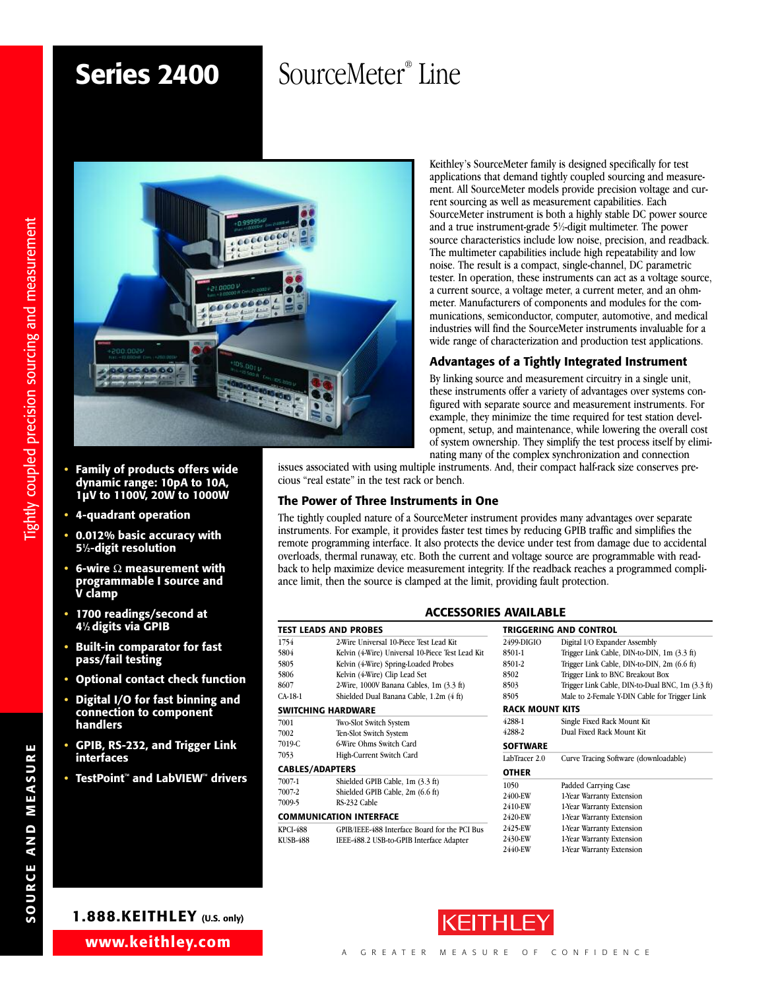# **Series 2400**

# SourceMeter<sup>®</sup> Line



- **• Family of products offers wide dynamic range: 10pA to 10A, 1µV to 1100V, 20W to 1000W**
- **• 4-quadrant operation**
- **• 0.012% basic accuracy with 51 ⁄2-digit resolution**
- **• 6-wire** Ω **measurement with programmable I source and V clamp**
- **• 1700 readings/second at 41 ⁄2digits via GPIB**
- **• Built-in comparator for fast pass/fail testing**
- **• Optional contact check function**
- **• Digital I/O for fast binning and connection to component handlers**
- **• GPIB, RS-232, and Trigger Link interfaces**
- **• TestPoint™ and LabVIEW™ drivers**

Keithley's SourceMeter family is designed specifically for test applications that demand tightly coupled sourcing and measurement. All SourceMeter models provide precision voltage and current sourcing as well as measurement capabilities. Each SourceMeter instrument is both a highly stable DC power source and a true instrument-grade 5<sup>1</sup>/<sub>2</sub>-digit multimeter. The power source characteristics include low noise, precision, and readback. The multimeter capabilities include high repeatability and low noise. The result is a compact, single-channel, DC parametric tester. In operation, these instruments can act as a voltage source, a current source, a voltage meter, a current meter, and an ohmmeter. Manufacturers of components and modules for the communications, semiconductor, computer, automotive, and medical industries will find the SourceMeter instruments invaluable for a wide range of characterization and production test applications.

### **Advantages of a Tightly Integrated Instrument**

By linking source and measurement circuitry in a single unit, these instruments offer a variety of advantages over systems configured with separate source and measurement instruments. For example, they minimize the time required for test station development, setup, and maintenance, while lowering the overall cost of system ownership. They simplify the test process itself by eliminating many of the complex synchronization and connection

issues associated with using multiple instruments. And, their compact half-rack size conserves precious "real estate" in the test rack or bench.

### **The Power of Three Instruments in One**

The tightly coupled nature of a SourceMeter instrument provides many advantages over separate instruments. For example, it provides faster test times by reducing GPIB traffic and simplifies the remote programming interface. It also protects the device under test from damage due to accidental overloads, thermal runaway, etc. Both the current and voltage source are programmable with readback to help maximize device measurement integrity. If the readback reaches a programmed compliance limit, then the source is clamped at the limit, providing fault protection.

### **ACCESSORIES AVAILABLE**

|                        | <b>TEST LEADS AND PROBES</b>                     |                        | <b>TRIGGERING AND CONTROL</b>                    |
|------------------------|--------------------------------------------------|------------------------|--------------------------------------------------|
| 1754                   | 2-Wire Universal 10-Piece Test Lead Kit          | 2499-DIGIO             | Digital I/O Expander Assembly                    |
| 5804                   | Kelvin (4-Wire) Universal 10-Piece Test Lead Kit | 8501-1                 | Trigger Link Cable, DIN-to-DIN, 1m (3.3 ft)      |
| 5805                   | Kelvin (4-Wire) Spring-Loaded Probes             | 8501-2                 | Trigger Link Cable, DIN-to-DIN, 2m (6.6 ft)      |
| 5806                   | Kelvin (4-Wire) Clip Lead Set                    | 8502                   | Trigger Link to BNC Breakout Box                 |
| 8607                   | 2-Wire, 1000V Banana Cables, 1m (3.3 ft)         | 8503                   | Trigger Link Cable, DIN-to-Dual BNC, 1m (3.3 ft) |
| CA-18-1                | Shielded Dual Banana Cable, 1.2m (4 ft)          | 8505                   | Male to 2-Female Y-DIN Cable for Trigger Link    |
|                        | SWITCHING HARDWARE                               | <b>RACK MOUNT KITS</b> |                                                  |
| 7001                   | Two-Slot Switch System                           | 4288-1                 | Single Fixed Rack Mount Kit                      |
| 7002                   | Ten-Slot Switch System                           | 4288-2                 | Dual Fixed Rack Mount Kit                        |
| 7019-C                 | 6 Wire Ohms Switch Card                          | <b>SOFTWARE</b>        |                                                  |
| 7053                   | High-Current Switch Card                         | LabTracer 2.0          | Curve Tracing Software (downloadable)            |
| <b>CABLES/ADAPTERS</b> |                                                  | <b>OTHER</b>           |                                                  |
| 7007-1                 | Shielded GPIB Cable, 1m (3.3 ft)                 | 1050                   | Padded Carrying Case                             |
| 7007-2                 | Shielded GPIB Cable, 2m (6.6 ft)                 | 2400-EW                | 1-Year Warranty Extension                        |
| 7009-5                 | RS-232 Cable                                     | 2410-EW                | 1-Year Warranty Extension                        |
|                        | COMMUNICATION INTERFACE                          | 2420-EW                | 1-Year Warranty Extension                        |
| KPCI-488               | GPIB/IEEE-488 Interface Board for the PCI Bus    | 2425-EW                | 1-Year Warranty Extension                        |
| KUSB-488               | IEEE-488.2 USB-to-GPIB Interface Adapter         | 2430-EW                | 1-Year Warranty Extension                        |
|                        |                                                  | 2440-EW                | 1-Year Warranty Extension                        |
|                        |                                                  |                        |                                                  |



**SOURCE**

**ANDME AS URE**

**1.888.KEITHLEY (U.S. only)**

**www.keithley.com**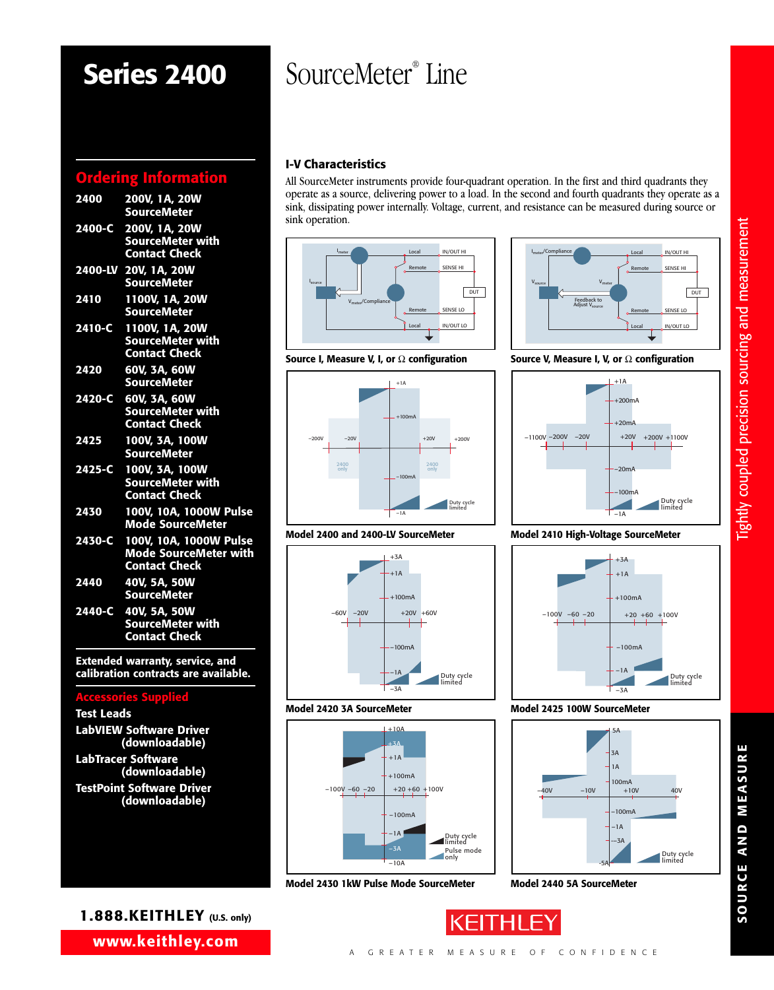# **Series 2400**

# **Ordering Information**

| 2400   | 200V. 1A. 20W<br><b>SourceMeter</b>                                                   |
|--------|---------------------------------------------------------------------------------------|
|        | 2400-C 200V, 1A, 20W<br><b>SourceMeter with</b><br><b>Contact Check</b>               |
|        | 2400-LV 20V, 1A, 20W<br><b>SourceMeter</b>                                            |
| 2410   | 1100V, 1A, 20W<br><b>SourceMeter</b>                                                  |
| 2410-C | 1100V, 1A, 20W<br><b>SourceMeter with</b><br><b>Contact Check</b>                     |
| 2420   | 60V, 3A, 60W<br><b>SourceMeter</b>                                                    |
| 2420-C | 60V, 3A, 60W<br><b>SourceMeter with</b><br><b>Contact Check</b>                       |
| 2425   | 100V. 3A. 100W<br><b>SourceMeter</b>                                                  |
|        | 2425-C 100V, 3A, 100W<br><b>SourceMeter with</b><br><b>Contact Check</b>              |
| 2430   | 100V, 10A, 1000W Pulse<br><b>Mode SourceMeter</b>                                     |
|        | 2430-C 100V, 10A, 1000W Pulse<br><b>Mode SourceMeter with</b><br><b>Contact Check</b> |
| 2440   | 40V. 5A. 50W<br><b>SourceMeter</b>                                                    |
| 2440-C | 40V. 5A. 50W<br><b>SourceMeter with</b><br><b>Contact Check</b>                       |

**Extended warranty, service, and calibration contracts are available.**

### **Accessories Supplied**

| <b>Test Leads</b>                                  |
|----------------------------------------------------|
| <b>LabVIEW Software Driver</b><br>(downloadable)   |
| <b>LabTracer Software</b><br>(downloadable)        |
| <b>TestPoint Software Driver</b><br>(downloadable) |

# SourceMeter® Line

# **I-V Characteristics**

All SourceMeter instruments provide four-quadrant operation. In the first and third quadrants they operate as a source, delivering power to a load. In the second and fourth quadrants they operate as a sink, dissipating power internally. Voltage, current, and resistance can be measured during source or sink operation.







 $+1A$ 

+3A

+100mA

–100mA

Duty cycle limited

Pulse mode only Duty cycle limited

–1A

 $-3A$ 

 $+1A$ 

**A SourceMeter**<br>  $+10A$ <br>  $+10A$ <br>  $+10A$ <br>  $+10A$ <br>  $+100mA$ <br>  $+20+60+100V$ <br>  $-100mA$ <br>  $-100mA$  $+3A$ 

+10A

–100mA

 $-1A$  $-3A$  $-10A$ 

+100mA

 $+20 +60 +100V$ 

**Model 2420 3A SourceMeter**

 $-100V - 60 - 20$ 

–60V –20V | +20V +60V

**Model 2400 and 2400-LV SourceMeter**

**Source I, Measure V, I, or** Ω **configuration Source V, Measure I, V, or** Ω **configuration**



## **Model 2410 High-Voltage SourceMeter**



### **Model 2425 100W SourceMeter**

**Model 2440 5A SourceMeter**



**Model 2430 1kW Pulse Mode SourceMeter**

**SO U R C E A N D M E A** <u>ທ</u> **U R E**

-3A<br>
W SourceMer<br>
-3A<br>
-3A<br>
-3A<br>
-3A<br>
-3A<br>
-3A<br>
-100mA<br>
-100mA<br>
-100mA<br>
-14

**1.888.KEITHLEY (U.S. only)**

**www.keithley.com**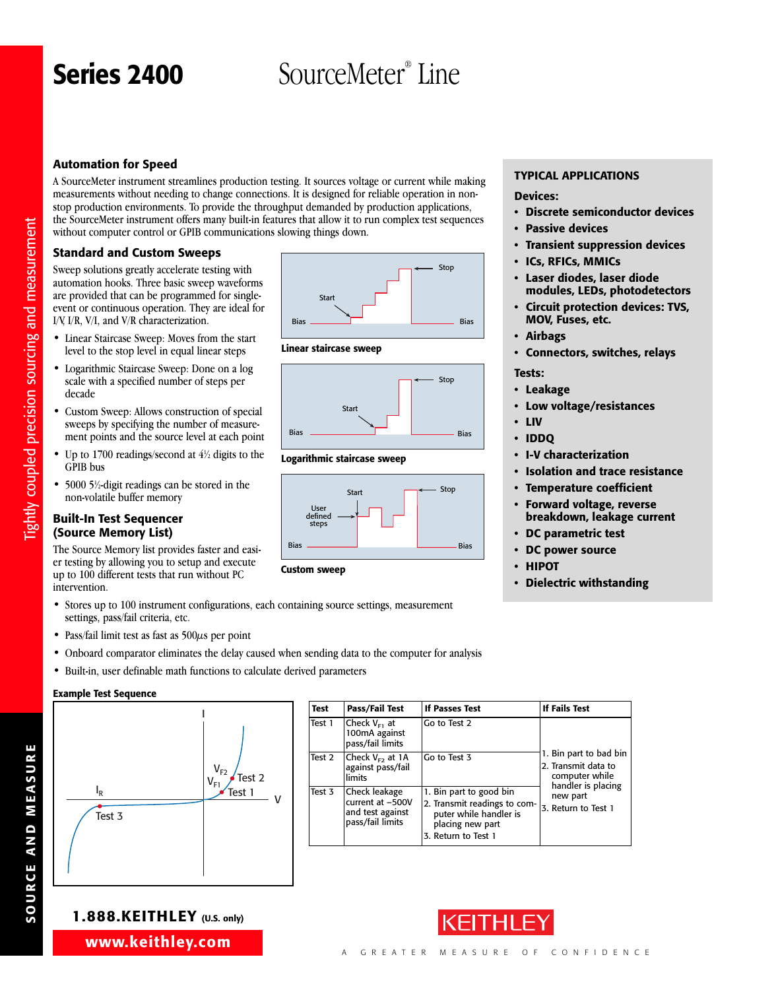# Series 2400 **SourceMeter**® Line

## **Automation for Speed**

A SourceMeter instrument streamlines production testing. It sources voltage or current while making measurements without needing to change connections. It is designed for reliable operation in nonstop production environments. To provide the throughput demanded by production applications, the SourceMeter instrument offers many built-in features that allow it to run complex test sequences without computer control or GPIB communications slowing things down.

### **Standard and Custom Sweeps**

Sweep solutions greatly accelerate testing with automation hooks. Three basic sweep waveforms are provided that can be programmed for singleevent or continuous operation. They are ideal for I/V, I/R, V/I, and V/R characterization.

- Linear Staircase Sweep: Moves from the start level to the stop level in equal linear steps
- Logarithmic Staircase Sweep: Done on a log scale with a specified number of steps per decade
- Custom Sweep: Allows construction of special sweeps by specifying the number of measurement points and the source level at each point
- Up to 1700 readings/second at  $4\frac{1}{2}$  digits to the GPIB bus
- 5000 5<sup>1</sup>/<sub>2</sub>-digit readings can be stored in the non-volatile buffer memory

### **Built-In Test Sequencer (Source Memory List)**

The Source Memory list provides faster and easier testing by allowing you to setup and execute up to 100 different tests that run without PC intervention.

- Stores up to 100 instrument configurations, each containing source settings, measurement settings, pass/fail criteria, etc.
- Pass/fail limit test as fast as 500 $\mu$ s per point
- Onboard comparator eliminates the delay caused when sending data to the computer for analysis
- Built-in, user definable math functions to calculate derived parameters

#### **Example Test Sequence**



| <b>Test</b> | Pass/Fail Test                                                            | If Passes Test                                                                                                               | If Fails Test                                                   |
|-------------|---------------------------------------------------------------------------|------------------------------------------------------------------------------------------------------------------------------|-----------------------------------------------------------------|
| Test 1      | Check $V_{F1}$ at<br>100mA against<br>pass/fail limits                    | Go to Test 2                                                                                                                 |                                                                 |
| Test 2      | Check $V_{F2}$ at 1A<br>against pass/fail<br>limits                       | Go to Test 3                                                                                                                 | 1. Bin part to bad bin<br>2. Transmit data to<br>computer while |
| Test 3      | Check leakage<br>current at -500V<br>and test against<br>pass/fail limits | 1. Bin part to good bin<br>2. Transmit readings to com-<br>puter while handler is<br>placing new part<br>3. Return to Test 1 | handler is placing<br>new part<br>3. Return to Test 1           |

# **TYPICAL APPLICATIONS**

## **Devices:**

- **• Discrete semiconductor devices**
- **Passive devices**
- **• Transient suppression devices**
- **ICs, RFICs, MMICs**
- **Laser diodes, laser diode modules, LEDs, photodetectors**
- **Circuit protection devices: TVS, MOV, Fuses, etc.**
- **Airbags**
- **Connectors, switches, relays**
- **Tests:**
- **Leakage**
- **Low voltage/resistances**
- **LIV**
- **• IDDQ**
- **• I-V characterization**
- **Isolation and trace resistance**
- **Temperature coefficient**
- **Forward voltage, reverse breakdown, leakage current**
- **DC parametric test**
- **DC power source**
- **HIPOT**
- **• Dielectric withstanding**











# **1.888.KEITHLEY (U.S. only)**



**www.keithley.com**

**SOURCE**

**ANDME AS URE**

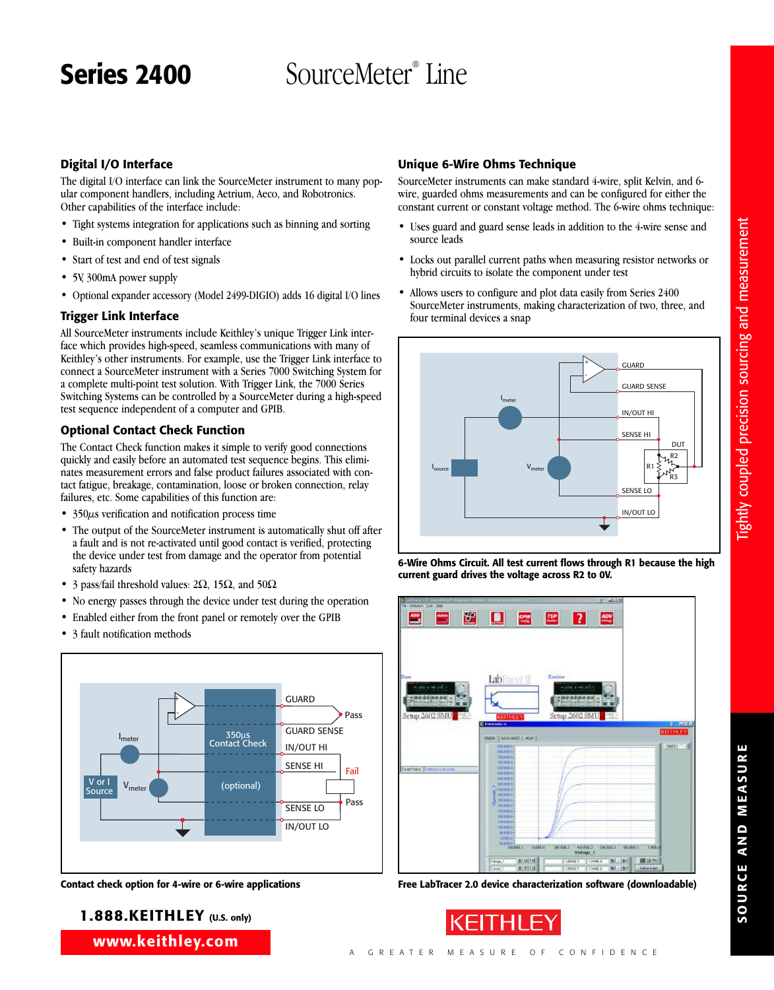# Series 2400 SourceMeter<sup>®</sup> Line

**Digital I/O Interface**

The digital I/O interface can link the SourceMeter instrument to many popular component handlers, including Aetrium, Aeco, and Robotronics. Other capabilities of the interface include:

- Tight systems integration for applications such as binning and sorting
- Built-in component handler interface
- Start of test and end of test signals
- 5V, 300mA power supply
- Optional expander accessory (Model 2499-DIGIO) adds 16 digital I/O lines

## **Trigger Link Interface**

All SourceMeter instruments include Keithley's unique Trigger Link interface which provides high-speed, seamless communications with many of Keithley's other instruments. For example, use the Trigger Link interface to connect a SourceMeter instrument with a Series 7000 Switching System for a complete multi-point test solution. With Trigger Link, the 7000 Series Switching Systems can be controlled by a SourceMeter during a high-speed test sequence independent of a computer and GPIB.

# **Optional Contact Check Function**

The Contact Check function makes it simple to verify good connections quickly and easily before an automated test sequence begins. This eliminates measurement errors and false product failures associated with contact fatigue, breakage, contamination, loose or broken connection, relay failures, etc. Some capabilities of this function are:

- 350 $\mu$ s verification and notification process time
- The output of the SourceMeter instrument is automatically shut off after a fault and is not re-activated until good contact is verified, protecting the device under test from damage and the operator from potential safety hazards
- 3 pass/fail threshold values:  $2\Omega$ , 15 $\Omega$ , and 50 $\Omega$
- No energy passes through the device under test during the operation
- Enabled either from the front panel or remotely over the GPIB
- 3 fault notification methods



# **1.888.KEITHLEY (U.S. only)**

**www.keithley.com**

# **Unique 6-Wire Ohms Technique**

SourceMeter instruments can make standard 4-wire, split Kelvin, and 6 wire, guarded ohms measurements and can be configured for either the constant current or constant voltage method. The 6-wire ohms technique:

- Uses guard and guard sense leads in addition to the 4-wire sense and source leads
- Locks out parallel current paths when measuring resistor networks or hybrid circuits to isolate the component under test
- Allows users to configure and plot data easily from Series 2400 SourceMeter instruments, making characterization of two, three, and four terminal devices a snap











**E**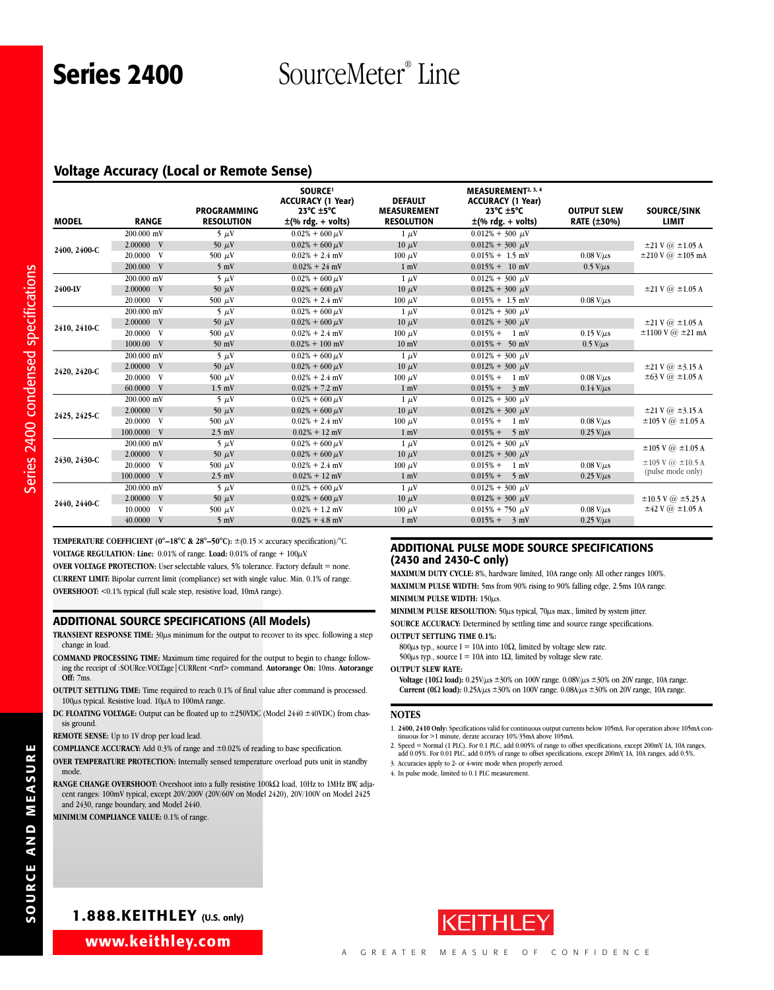Series 2400 **SourceMeter**® Line

## **Voltage Accuracy (Local or Remote Sense)**

|              |                   | <b>PROGRAMMING</b> | <b>SOURCE!</b><br><b>ACCURACY (1 Year)</b><br>23 $\degree$ C $\pm$ 5 $\degree$ C | <b>DEFAULT</b><br><b>MEASUREMENT</b> | <b>MEASUREMENT2, 3, 4</b><br><b>ACCURACY (1 Year)</b><br>23 $\degree$ C $\pm$ 5 $\degree$ C | <b>OUTPUT SLEW</b> | SOURCE/SINK                        |
|--------------|-------------------|--------------------|----------------------------------------------------------------------------------|--------------------------------------|---------------------------------------------------------------------------------------------|--------------------|------------------------------------|
| <b>MODEL</b> | <b>RANGE</b>      | <b>RESOLUTION</b>  | $\pm$ (% rdg. + volts)                                                           | <b>RESOLUTION</b>                    | $\pm$ (% rdg. + volts)                                                                      | <b>RATE (±30%)</b> | LIMIT                              |
|              | 200,000 mV        | $5 \mu V$          | $0.02\% + 600 \,\mu\text{V}$                                                     | $1 \mu V$                            | $0.012\% + 300 \mu V$                                                                       |                    |                                    |
| 2400, 2400-C | 2.00000 V         | 50 $\mu$ V         | $0.02\% + 600 \,\mu\text{V}$                                                     | $10 \mu V$                           | $0.012\% + 300 \mu V$                                                                       |                    | $\pm 21$ V $\omega$ $\pm 1.05$ A   |
|              | 20.0000 V         | 500 $\mu$ V        | $0.02\% + 2.4$ mV                                                                | $100 \mu V$                          | $0.015\% + 1.5$ mV                                                                          | $0.08$ V/ $\mu$ s  | $\pm 210$ V $\omega$ $\pm 105$ mA  |
|              | 200.000 V         | $5 \text{ mV}$     | $0.02\% + 24$ mV                                                                 | $1 \text{ mV}$                       | $0.015% + 10$ mV                                                                            | $0.5$ V/ $\mu$ s   |                                    |
|              | 200,000 mV        | $5 \mu V$          | $0.02\% + 600 \,\mu\text{V}$                                                     | $1 \mu V$                            | $0.012\% + 300 \mu V$                                                                       |                    |                                    |
| 2400-LV      | 2.00000 V         | 50 $\mu$ V         | $0.02\% + 600 \,\mu\text{V}$                                                     | $10 \mu V$                           | $0.012\% + 300 \mu V$                                                                       |                    | $\pm 21$ V $\omega$ $\pm 1.05$ A   |
|              | 20.0000 V         | 500 $\mu$ V        | $0.02\% + 2.4$ mV                                                                | $100 \mu V$                          | $0.015\% + 1.5$ mV                                                                          | $0.08$ V/ $\mu$ s  |                                    |
|              | 200,000 mV        | $5 \mu V$          | $0.02\% + 600 \,\mu\text{V}$                                                     | $1 \mu V$                            | $0.012\% + 300 \mu V$                                                                       |                    |                                    |
| 2410, 2410-C | 2.00000 V         | 50 $\mu$ V         | $0.02\% + 600 \,\mu\text{V}$                                                     | $10 \mu V$                           | $0.012\% + 300 \mu V$                                                                       |                    | $\pm 21$ V $\omega$ $\pm 1.05$ A   |
|              | 20.0000 V         | 500 $\mu$ V        | $0.02\% + 2.4$ mV                                                                | $100 \mu V$                          | $0.015% + 1$ mV                                                                             | $0.15$ V/ $\mu$ s  | $\pm 1100$ V $\omega$ $\pm 21$ mA  |
|              | 1000.00 V         | $50$ mV            | $0.02\% + 100$ mV                                                                | $10 \text{ mV}$                      | $0.015\% + 50$ mV                                                                           | $0.5$ V/ $\mu$ s   |                                    |
|              | 200,000 mV        | $5 \mu V$          | $0.02\% + 600 \,\mu\text{V}$                                                     | $1 \mu V$                            | $0.012\% + 300 \mu V$                                                                       |                    |                                    |
| 2420, 2420-C | 2.00000 V         | 50 $\mu$ V         | $0.02\% + 600 \,\mu\text{V}$                                                     | $10 \mu V$                           | $0.012\% + 300 \mu V$                                                                       |                    | $\pm 21$ V $\omega$ $\pm 3.15$ A   |
|              | 20.0000 V         | 500 $\mu$ V        | $0.02\% + 2.4$ mV                                                                | $100 \mu V$                          | $0.015\% + 1$ mV                                                                            | $0.08$ V/ $\mu$ s  | $\pm 63$ V $\omega$ $\pm 1.05$ A   |
|              | 60.0000 V         | $1.5$ mV           | $0.02\% + 7.2$ mV                                                                | $1 \text{ mV}$                       | $0.015% +$<br>$3 \text{ mV}$                                                                | $0.14$ V/ $\mu$ s  |                                    |
|              | 200,000 mV        | $5 \mu V$          | $0.02\% + 600 \,\mu\text{V}$                                                     | $1 \mu V$                            | $0.012\% + 300 \mu V$                                                                       |                    |                                    |
| 2425, 2425-C | 2.00000 V         | 50 $\mu$ V         | $0.02\% + 600 \,\mu\text{V}$                                                     | $10 \mu V$                           | $0.012\% + 300 \mu V$                                                                       |                    | $\pm 21$ V $\omega$ $\pm 3.15$ A   |
|              | 20.0000 V         | 500 $\mu$ V        | $0.02\% + 2.4$ mV                                                                | $100 \mu V$                          | $0.015\% + 1$ mV                                                                            | $0.08$ V/ $\mu$ s  | $\pm 105$ V $\omega$ $\pm 1.05$ A  |
|              | 100.0000 V        | $2.5$ mV           | $0.02\% + 12$ mV                                                                 | $1 \text{ mV}$                       | $0.015% +$<br>$5 \text{ mV}$                                                                | $0.25$ V/ $\mu$ s  |                                    |
|              | 200,000 mV        | $5 \mu V$          | $0.02\% + 600 \,\mu\text{V}$                                                     | $1 \mu V$                            | $0.012\% + 300 \mu V$                                                                       |                    | $\pm 105$ V $\omega$ $\pm 1.05$ A  |
| 2430, 2430-C | 2.00000 V         | 50 $\mu$ V         | $0.02\% + 600 \,\mu\text{V}$                                                     | $10 \mu V$                           | $0.012\% + 300 \mu V$                                                                       |                    |                                    |
|              | 20.0000 V         | 500 $\mu$ V        | $0.02\% + 2.4$ mV                                                                | $100 \mu V$                          | $0.015% + 1$ mV                                                                             | $0.08$ V/ $\mu$ s  | $\pm 105$ V $\omega$ $\pm 10.5$ A  |
|              | 100.0000 V        | $2.5$ mV           | $0.02\% + 12$ mV                                                                 | $1 \text{ mV}$                       | $0.015% + 5$ mV                                                                             | $0.25$ V/ $\mu$ s  | (pulse mode only)                  |
|              | 200,000 mV        | $5 \mu V$          | $0.02\% + 600 \,\mu\text{V}$                                                     | $1 \mu V$                            | $0.012\% + 300 \mu V$                                                                       |                    |                                    |
| 2440, 2440-C | 2.00000 V         | 50 $\mu$ V         | $0.02\% + 600 \,\mu\text{V}$                                                     | $10 \mu V$                           | $0.012\% + 300 \mu V$                                                                       |                    | $\pm 10.5$ V $\omega$ $\pm 5.25$ A |
|              | 10.0000 V         | 500 $\mu$ V        | $0.02\% + 1.2$ mV                                                                | $100 \mu V$                          | $0.015\% + 750 \mu V$                                                                       | $0.08$ V/ $\mu$ s  | $\pm 42$ V $\omega$ $\pm 1.05$ A   |
|              | $40.0000 \quad V$ | $5 \text{ mV}$     | $0.02\% + 4.8$ mV                                                                | $1 \text{ mV}$                       | $0.015% + 3$ mV                                                                             | $0.25$ V/ $\mu$ s  |                                    |

**TEMPERATURE COEFFICIENT (0°–18°C & 28°–50°C):** ±(0.15 × accuracy specification)/°C. **VOLTAGE REGULATION: Line:**  $0.01\%$  of range. Load:  $0.01\%$  of range +  $100\mu$ V. **OVER VOLTAGE PROTECTION:** User selectable values, 5% tolerance. Factory default = none.

**CURRENT LIMIT:** Bipolar current limit (compliance) set with single value. Min. 0.1% of range. **OVERSHOOT:** <0.1% typical (full scale step, resistive load, 10mA range).

#### **ADDITIONAL SOURCE SPECIFICATIONS (All Models)**

- **TRANSIENT RESPONSE TIME:** 30µs minimum for the output to recover to its spec. following a step change in load.
- **COMMAND PROCESSING TIME:** Maximum time required for the output to begin to change following the receipt of :SOURce:VOLTage|CURRent <nrf> command. **Autorange On:** 10ms. **Autorange Off:** 7ms.
- **OUTPUT SETTLING TIME:** Time required to reach 0.1% of final value after command is processed.  $100\mu$ s typical. Resistive load.  $10\mu$ A to 100mA range.
- **DC FLOATING VOLTAGE:** Output can be floated up to  $\pm 250$ VDC (Model 2440  $\pm 40$ VDC) from chassis ground.

**REMOTE SENSE:** Up to 1V drop per load lead.

**COMPLIANCE ACCURACY:** Add 0.3% of range and ±0.02% of reading to base specification.

**OVER TEMPERATURE PROTECTION:** Internally sensed temperature overload puts unit in standby mode.

**RANGE CHANGE OVERSHOOT:** Overshoot into a fully resistive 100kΩ load, 10Hz to 1MHz BW, adjacent ranges: 100mV typical, except 20V/200V (20V/60V on Model 2420), 20V/100V on Model 2425 and 2430, range boundary, and Model 2440.

**MINIMUM COMPLIANCE VALUE:** 0.1% of range.

#### **ADDITIONAL PULSE MODE SOURCE SPECIFICATIONS (2430 and 2430-C only)**

**MAXIMUM DUTY CYCLE:** 8%, hardware limited, 10A range only. All other ranges 100%. **MAXIMUM PULSE WIDTH:** 5ms from 90% rising to 90% falling edge, 2.5ms 10A range. **MINIMUM PULSE WIDTH:** 150µs.

**MINIMUM PULSE RESOLUTION:** 50µs typical, 70µs max., limited by system jitter.

**SOURCE ACCURACY:** Determined by settling time and source range specifications. **OUTPUT SETTLING TIME 0.1%:**

800 $\mu$ s typ., source I = 10A into 10 $\Omega$ , limited by voltage slew rate.

500μs typ., source I = 10A into 1 $\Omega$ , limited by voltage slew rate.

**OUTPUT SLEW RATE:**

**Voltage (10**Ω **load):** 0.25V/µs ±30% on 100V range. 0.08V/µs ±30% on 20V range, 10A range. **Current (0**Ω **load):** 0.25A/µs ±30% on 100V range. 0.08A/µs ±30% on 20V range, 10A range.

#### **NOTES**

- 1. **2400, 2410 Only:** Specifications valid for continuous output currents below 105mA. For operation above 105mA con-tinuous for >1 minute, derate accuracy 10%/35mA above 105mA.
- 2. Speed = Normal (1 PLC). For 0.1 PLC, add 0.005% of range to offset specifications, except 200mV, 1A, 10A ranges, add 0.05%. For 0.01 PLC, add 0.05% of range to offset specifications, except 200mV, 1A, 10A ranges, add 0.
- 3. Accuracies apply to 2- or 4-wire mode when properly zeroed. 4. In pulse mode, limited to 0.1 PLC measurement.

**URE**

Series 2400 condensed sp

ecificatio

ns

**1.888.KEITHLEY (U.S. only)**

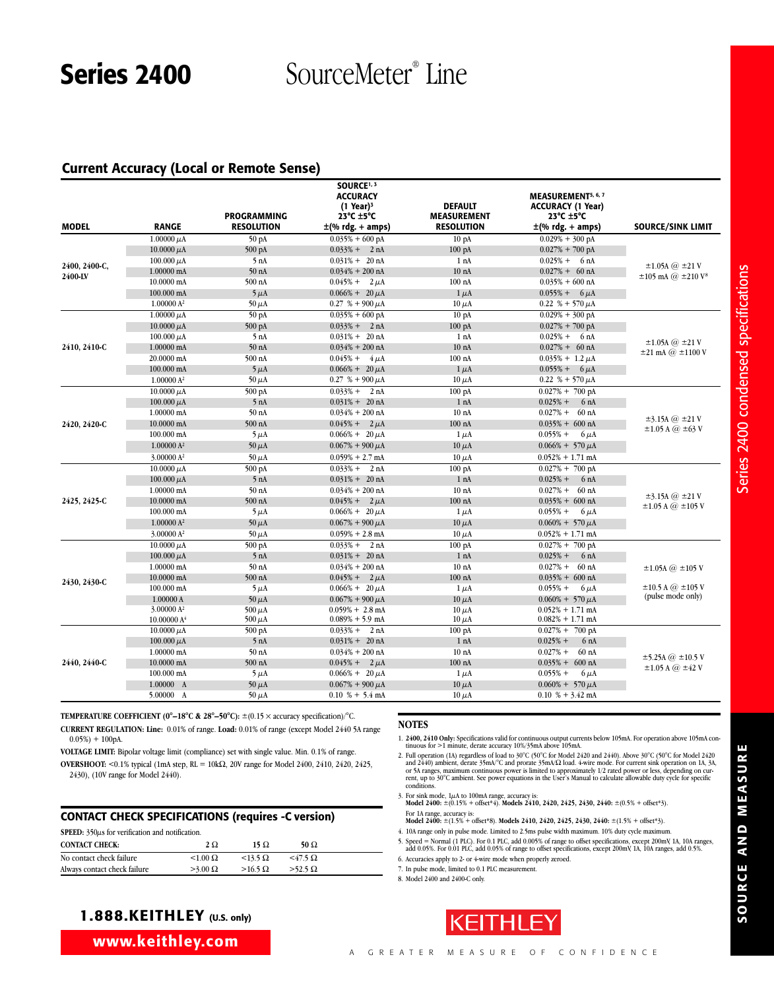# Series 2400 SourceMeter<sup>®</sup> Line

## **Current Accuracy (Local or Remote Sense)**

| <b>MODEL</b>  | <b>RANGE</b>            | <b>PROGRAMMING</b><br><b>RESOLUTION</b> | SOURCE <sup>1, 3</sup><br><b>ACCURACY</b><br>$(1$ Year) <sup>3</sup><br>$23^{\circ}$ C $\pm 5^{\circ}$ C<br>±(% rdg. + amps) | <b>DEFAULT</b><br><b>MEASUREMENT</b><br><b>RESOLUTION</b> | <b>MEASUREMENT5, 6, 7</b><br><b>ACCURACY (1 Year)</b><br>23 $^{\circ}$ C $\pm$ 5 $^{\circ}$ C<br>$\pm$ (% rdg. + amps) | <b>SOURCE/SINK LIMIT</b>                                              |
|---------------|-------------------------|-----------------------------------------|------------------------------------------------------------------------------------------------------------------------------|-----------------------------------------------------------|------------------------------------------------------------------------------------------------------------------------|-----------------------------------------------------------------------|
|               | $1.00000 \mu A$         | 50 pA                                   | $0.035\% + 600 \text{ pA}$                                                                                                   | 10 <sub>pA</sub>                                          | $0.029% + 300$ pA                                                                                                      |                                                                       |
|               | 10.0000 $\mu$ A         | $500 \text{ pA}$                        | $0.033\% + 2 nA$                                                                                                             | $100\ \mathrm{pA}$                                        | $0.027\% + 700 \text{ pA}$                                                                                             |                                                                       |
|               | $100.000 \mu A$         | 5 nA                                    | $0.031\% + 20 \text{ nA}$                                                                                                    | 1 nA                                                      | $0.025% + 6 nA$                                                                                                        |                                                                       |
| 2400, 2400-C, | $1.00000$ mA            | 50 <sub>nA</sub>                        | $0.034\% + 200$ nA                                                                                                           | 10 <sub>nA</sub>                                          | $0.027% + 60 \text{ nA}$                                                                                               | $\pm 1.05$ A $\omega$ $\pm 21$ V                                      |
| 2400-LV       | 10.0000 mA              | 500 nA                                  | $0.045\% + 2 \mu A$                                                                                                          | $100$ nA                                                  | $0.035% + 600$ nA                                                                                                      | $\pm 105$ mA $\omega$ $\pm 210$ V <sup>8</sup>                        |
|               | 100.000 mA              | $5 \mu A$                               | $0.066\% + 20 \,\mu A$                                                                                                       | $1 \mu A$                                                 | $0.055\% + 6 \mu A$                                                                                                    |                                                                       |
|               | 1.00000 A <sup>2</sup>  | $50 \mu A$                              | $0.27 \% + 900 \mu A$                                                                                                        | $10 \mu A$                                                | $0.22~\% + 570 \,\mu A$                                                                                                |                                                                       |
|               | $1.00000 \mu A$         | 50 pA                                   | $0.035\% + 600 \text{ pA}$                                                                                                   | 10 <sub>pA</sub>                                          | $0.029\% + 300$ pA                                                                                                     |                                                                       |
|               | 10.0000 $\mu$ A         | $500 \text{ pA}$                        | $0.033\% + 2 nA$                                                                                                             | $100\ \mathrm{pA}$                                        | $0.027\% + 700 \text{ pA}$                                                                                             |                                                                       |
|               | 100.000 $\mu$ A         | 5 nA                                    | $0.031\% + 20 \text{ nA}$                                                                                                    | 1 nA                                                      | $0.025% + 6 nA$                                                                                                        |                                                                       |
| 2410, 2410-C  | 1.00000 mA              | 50 <sub>nA</sub>                        | $0.034\% + 200$ nA                                                                                                           | 10 <sub>nA</sub>                                          | $0.027\% + 60 \text{ nA}$                                                                                              | $\pm 1.05$ A @ $\pm 21$ V                                             |
|               | 20.0000 mA              | 500 nA                                  | $0.045\% + 4 \mu A$                                                                                                          | $100$ nA                                                  | $0.035\% + 1.2 \mu A$                                                                                                  | $\pm 21$ mA $@$ $\pm 1100$ V                                          |
|               | 100.000 mA              | $5 \mu A$                               | $0.066\% + 20 \,\mu A$                                                                                                       | $1 \mu A$                                                 | $0.055\% + 6 \mu A$                                                                                                    |                                                                       |
|               | 1.00000 A <sup>2</sup>  | $50 \mu A$                              | $0.27$ % + 900 $\mu$ A                                                                                                       | $10 \mu A$                                                | $0.22$ % + 570 $\mu$ A                                                                                                 |                                                                       |
|               | $10.0000 \mu A$         | 500 pA                                  | $0.033\% + 2 nA$                                                                                                             | $100\ \mathrm{pA}$                                        | $0.027% + 700$ pA                                                                                                      |                                                                       |
|               | 100.000 $\mu$ A         | 5 nA                                    | $0.031\% + 20 \text{ nA}$                                                                                                    | 1 nA                                                      | $0.025% +$<br>6 <sub>nA</sub>                                                                                          |                                                                       |
|               | 1.00000 mA              | 50 <sub>nA</sub>                        | $0.034\% + 200$ nA                                                                                                           | 10 <sub>nA</sub>                                          | $0.027%$ +<br>$60$ nA                                                                                                  | $\pm$ 3.15A $\omega$ $\pm$ 21 V<br>$\pm 1.05$ A $\omega$ $\pm 63$ V   |
| 2420, 2420-C  | $10.0000$ mA            | $500$ nA                                | $0.045\% + 2 \mu A$                                                                                                          | $100$ nA                                                  | $0.035\% + 600 \text{ nA}$                                                                                             |                                                                       |
|               | $100.000$ mA            | $5 \mu A$                               | $0.066\% + 20 \,\mu A$                                                                                                       | $1 \mu A$                                                 | $0.055% +$<br>$6 \mu A$                                                                                                |                                                                       |
|               | 1.00000 A <sup>2</sup>  | $50 \mu A$                              | $0.067\% + 900 \mu A$                                                                                                        | $10 \mu A$                                                | $0.066\% + 570 \mu A$                                                                                                  |                                                                       |
|               | 3.00000 A <sup>2</sup>  | 50 $\mu$ A                              | $0.059% + 2.7$ mA                                                                                                            | $10 \mu A$                                                | $0.052\% + 1.71$ mA                                                                                                    |                                                                       |
|               | 10.0000 $\mu$ A         | 500 pA                                  | $0.033\% + 2 nA$                                                                                                             | 100 pA                                                    | $0.027\% + 700 \text{ pA}$                                                                                             |                                                                       |
|               | 100.000 $\mu$ A         | 5 nA                                    | $0.031\% + 20 \text{ nA}$                                                                                                    | 1 nA                                                      | $0.025% +$<br>6 <sub>nA</sub>                                                                                          |                                                                       |
|               | 1.00000 mA              | 50 <sub>nA</sub>                        | $0.034\% + 200$ nA                                                                                                           | 10 <sub>nA</sub>                                          | $0.027% +$<br>60 <sub>nA</sub>                                                                                         |                                                                       |
| 2425, 2425-C  | $10.0000$ mA            | 500 nA                                  | $0.045\% + 2 \mu A$                                                                                                          | $100$ nA                                                  | $0.035\% + 600 \text{ nA}$                                                                                             | $\pm$ 3.15A $\omega$ $\pm$ 21 V                                       |
|               | 100.000 mA              | $5 \mu$ A                               | $0.066\% + 20 \,\mu A$                                                                                                       | $1 \mu A$                                                 | $0.055% +$<br>$6 \mu A$                                                                                                | $\pm 1.05$ A $@$ $\pm 105$ V                                          |
|               | 1.00000 A <sup>2</sup>  | $50 \mu A$                              | $0.067\% + 900 \mu A$                                                                                                        | $10 \mu A$                                                | $0.060\% + 570 \,\mu\text{A}$                                                                                          |                                                                       |
|               | 3.00000 A <sup>2</sup>  | $50 \mu A$                              | $0.059\% + 2.8$ mA                                                                                                           | $10 \mu A$                                                | $0.052\% + 1.71$ mA                                                                                                    |                                                                       |
|               | $10.0000 \mu A$         | 500 pA                                  | $0.033\% + 2 nA$                                                                                                             | 100 <sub>pA</sub>                                         | $0.027% + 700$ pA                                                                                                      |                                                                       |
|               | 100.000 $\mu$ A         | 5 nA                                    | $0.031\% + 20 \text{ nA}$                                                                                                    | 1 nA                                                      | $0.025% +$<br>6 <sub>nA</sub>                                                                                          |                                                                       |
|               | $1.00000$ mA            | 50 <sub>nA</sub>                        | $0.034\% + 200$ nA                                                                                                           | 10 <sub>nA</sub>                                          | $0.027% +$<br>60 <sub>nA</sub>                                                                                         | $\pm 1.05$ A $\omega$ $\pm 105$ V                                     |
|               | 10.0000 mA              | 500 nA                                  | $0.045\% + 2 \mu A$                                                                                                          | $100$ nA                                                  | $0.035\% + 600 \text{ nA}$                                                                                             |                                                                       |
| 2430, 2430-C  | 100.000 mA              | $5 \mu$ A                               | $0.066\% + 20 \,\mu\text{A}$                                                                                                 | $1 \mu A$                                                 | $0.055% +$<br>$6 \mu A$                                                                                                | $\pm 10.5$ A $\omega$ $\pm 105$ V                                     |
|               | 1.00000 A               | $50 \mu A$                              | $0.067\% + 900 \mu A$                                                                                                        | $10 \mu A$                                                | $0.060\% + 570 \,\mu A$                                                                                                | (pulse mode only)                                                     |
|               | 3.00000 $A^2$           | 500 $\mu$ A                             | $0.059\% + 2.8 \text{ mA}$                                                                                                   | $10 \mu A$                                                | $0.052\% + 1.71$ mA                                                                                                    |                                                                       |
|               | 10.00000 A <sup>4</sup> | 500 $\mu$ A                             | $0.089\% + 5.9$ mA                                                                                                           | $10 \mu A$                                                | $0.082\% + 1.71$ mA                                                                                                    |                                                                       |
|               | 10.0000 $\mu$ A         | 500 pA                                  | $0.033\% + 2 nA$                                                                                                             | $100\text{ pA}$                                           | $0.027\% + 700 \text{ pA}$                                                                                             |                                                                       |
|               | 100.000 $\mu$ A         | 5 nA                                    | $0.031\% + 20 \text{ nA}$                                                                                                    | 1 nA                                                      | $0.025% +$<br>6 <sub>nA</sub>                                                                                          |                                                                       |
|               | 1.00000 mA              | 50 nA                                   | $0.034\% + 200$ nA                                                                                                           | 10 <sub>nA</sub>                                          | $0.027% +$<br>$60$ nA                                                                                                  |                                                                       |
| 2440, 2440-C  | 10.0000 mA              | $500$ nA                                | $0.045\% + 2 \mu A$                                                                                                          | $100$ nA                                                  | $0.035\% + 600 \text{ nA}$                                                                                             | $\pm$ 5.25A $\omega$ $\pm$ 10.5 V<br>$\pm 1.05$ A $\omega$ $\pm 42$ V |
|               | $100.000$ mA            | $5 \mu A$                               | $0.066\% + 20 \mu A$                                                                                                         | $1 \mu$ A                                                 | $0.055% +$<br>$6 \mu A$                                                                                                |                                                                       |
|               | 1.00000 A               | 50 $\mu$ A                              | $0.067\% + 900 \mu A$                                                                                                        | $10 \mu A$                                                | $0.060\% + 570 \mu A$                                                                                                  |                                                                       |
|               | 5.00000 A               | 50 $\mu$ A                              | $0.10\% + 5.4 \text{ mA}$                                                                                                    | $10 \mu A$                                                | $0.10\% + 3.42 \text{ mA}$                                                                                             |                                                                       |

**TEMPERATURE COEFFICIENT (0°-18°C & 28°-50°C):**  $\pm$ (0.15  $\times$  accuracy specification)/°C.

**CURRENT REGULATION: Line:** 0.01% of range. **Load:** 0.01% of range (except Model 2440 5A range  $0.05\%$ ) + 100pA.

**VOLTAGE LIMIT:** Bipolar voltage limit (compliance) set with single value. Min. 0.1% of range.

**OVERSHOOT:** <0.1% typical (1mA step, RL = 10kΩ, 20V range for Model 2400, 2410, 2420, 2425, 2430), (10V range for Model 2440).

#### **CONTACT CHECK SPECIFICATIONS (requires -C version)**

|  |  | SPEED: $350\mu s$ for verification and notification. |
|--|--|------------------------------------------------------|
|  |  |                                                      |

| <b>CONTACT CHECK:</b>        | $2\Omega$       | 15 $\Omega$       | 50 $\Omega$       |  |
|------------------------------|-----------------|-------------------|-------------------|--|
| No contact check failure     | $< 1.00 \Omega$ | $<$ 13.5 $\Omega$ | $<$ 47.5 $\Omega$ |  |
| Always contact check failure | $>3.00 \Omega$  | $>16.5 \Omega$    | $>52.5 \Omega$    |  |

# **1.888.KEITHLEY (U.S. only)**

**www.keithley.com**

#### **NOTES**

1. **2400, 2410 Only:** Specifications valid for continuous output currents below 105mA. For operation above 105mA con-tinuous for >1 minute, derate accuracy 10%/35mA above 105mA.

- 2. Full operation (1A) regardless of load to 30°C (50°C for Model 2420 and 2440). Above 30°C (50°C for Model 2420<br>and 2440) ambient, derate 35mA/°C and prorate 35mA/S2 load. 4-wire mode. For current sink operation on 1A,
- 3. For sink mode, 1µA to 100mA range, accuracy is: **Model 2400:** ±(0.15% + offset\*4). **Models 2410, 2420, 2425, 2430, 2440:** ±(0.5% + offset\*3).
- For 1A range, accuracy is: **Model 2400:** ±(1.5% + offset\*8). **Models 2410, 2420, 2425, 2430, 2440:** ±(1.5% + offset\*3).
- 4. 10A range only in pulse mode. Limited to 2.5ms pulse width maximum. 10% duty cycle maximum.
- 5. Speed = Normal (1 PLC). For 0.1 PLC, add 0.005% of range to offset specifications, except 200mV, 1A, 10A ranges, add 0.05%. For 0.01 PLC, add 0.05% of range to offset specifications, except 200mV, 1A, 10A ranges, add 0. 6. Accuracies apply to 2- or 4-wire mode when properly zeroed.
- 7. In pulse mode, limited to 0.1 PLC measurement.

8. Model 2400 and 2400-C only.

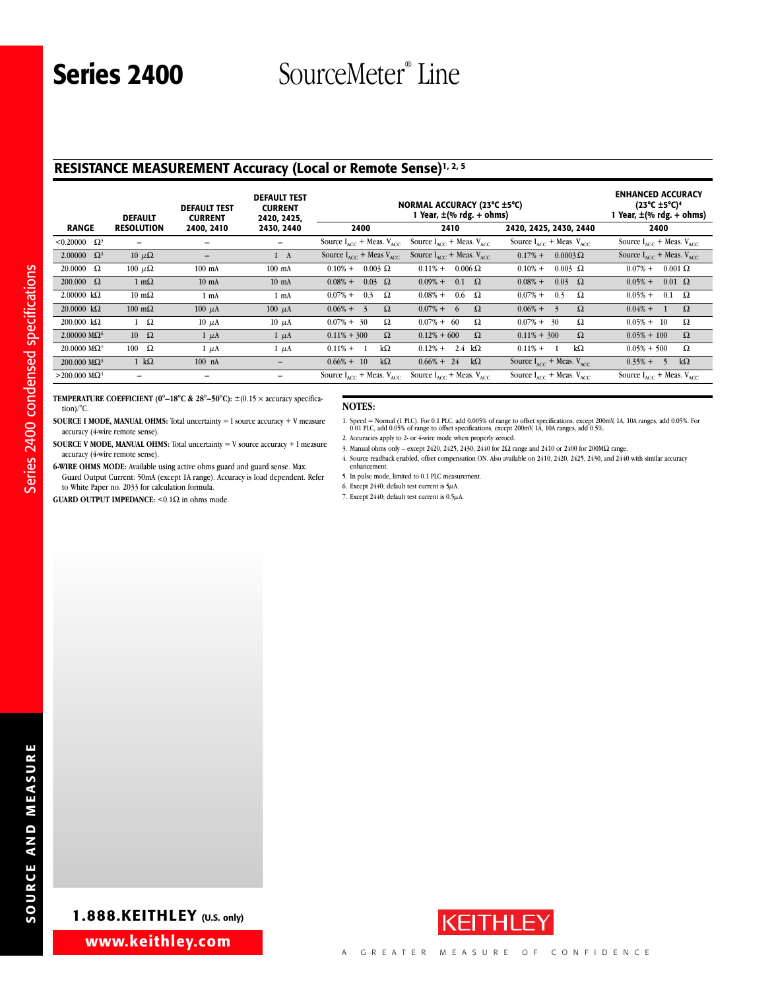# **RESISTANCE MEASUREMENT Accuracy (Local or Remote Sense)1, 2, 5**

|                                        | <b>DEFAULT</b>         | <b>DEFAULT TEST</b><br><b>CURRENT</b> | <b>DEFAULT TEST</b><br><b>CURRENT</b><br>2420, 2425, |                                                  | NORMAL ACCURACY (23°C ±5°C)<br>I Year, ±(% rdg. + ohms) |                                                  | <b>ENHANCED ACCURACY</b><br>(23°C $\pm$ 5°C) <sup>4</sup><br>Year, ±(% rdg. + ohms) |
|----------------------------------------|------------------------|---------------------------------------|------------------------------------------------------|--------------------------------------------------|---------------------------------------------------------|--------------------------------------------------|-------------------------------------------------------------------------------------|
| <b>RANGE</b>                           | <b>RESOLUTION</b>      | 2400, 2410                            | 2430, 2440                                           | 2400                                             | 2410                                                    | 2420, 2425, 2430, 2440                           | 2400                                                                                |
| $< 0.20000$ Ω <sup>3</sup>             |                        | -                                     | -                                                    | Source $I_{\text{acc}}$ + Meas. $V_{\text{acc}}$ | Source $I_{ACC}$ + Meas. $V_{ACC}$                      | Source $I_{\text{acc}}$ + Meas. $V_{\text{acc}}$ | Source $I_{ACC}$ + Meas. $V_{ACC}$                                                  |
| 2.00000 $\Omega^3$                     | $10 \mu\Omega$         | $\qquad \qquad -$                     | $1 \quad A$                                          | Source $I_{\text{acc}}$ + Meas $V_{\text{acc}}$  | Source $I_{acc}$ + Meas. $V_{acc}$                      | $0.17%$ +<br>$0.0003\,\Omega$                    | Source $I_{ACC}$ + Meas. $V_{ACC}$                                                  |
| $20.0000 \quad \Omega$                 | 100 $\mu\Omega$        | $100$ mA                              | $100$ mA                                             | $0.003 \Omega$<br>$0.10% +$                      | $0.006\Omega$<br>$0.11\% +$                             | $0.003$ $\Omega$<br>$0.10% +$                    | $0.07\%$ +<br>$0.001 \Omega$                                                        |
| $200.000 \quad \Omega$                 | $1 \text{ m}\Omega$    | $10 \text{ mA}$                       | $10 \text{ mA}$                                      | $0.03 \Omega$<br>$0.08\% +$                      | $0.09% +$<br>$0.1 \Omega$                               | $0.03 \Omega$<br>$0.08\% +$                      | $0.01 \Omega$<br>$0.05% +$                                                          |
| $2.00000 \text{ k}\Omega$              | $10 \text{ m}\Omega$   | 1 mA                                  | 1 mA                                                 | $0.07\%$ +<br>0.3<br>Ω                           | $0.6\quad \Omega$<br>$0.08\% +$                         | $0.07\%$ +<br>0.3<br>Ω                           | $0.05%$ +<br>0.1<br>$\Omega$                                                        |
| $20.0000 k\Omega$                      | $100 \text{ m}\Omega$  | $100 \mu A$                           | $100 \mu A$                                          | $0.06\% +$<br>$\Omega$<br>$\mathbf{z}$           | $\Omega$<br>$0.07\%$ +<br>$\sqrt{2}$                    | $\Omega$<br>$0.06\% +$<br>$\mathbf{z}$           | $0.04\% +$<br>$\Omega$                                                              |
| $200.000 \text{ k}\Omega$              | $1 \Omega$             | $10 \mu A$                            | $10 \mu A$                                           | Ω<br>$0.07\% + 30$                               | Ω<br>$0.07\% + 60$                                      | Ω<br>$0.07\% + 30$                               | Ω<br>$0.05\% + 10$                                                                  |
| $2.00000 \text{ M}\Omega$ <sup>6</sup> | $10 \Omega$            | $1 \mu A$                             | $1 \mu A$                                            | $\Omega$<br>$0.11\% + 300$                       | $0.12\% + 600$<br>$\Omega$                              | $\Omega$<br>$0.11\% + 300$                       | $\Omega$<br>$0.05\% + 100$                                                          |
| $20.0000 \text{ M}\Omega^7$            | $100 \Omega$           | $1 \mu A$                             | $1 \mu A$                                            | $k\Omega$<br>$0.11\% +$<br>-1                    | 2.4 $k\Omega$<br>$0.12% +$                              | $k\Omega$<br>$0.11\% +$                          | Ω<br>$0.05\% + 500$                                                                 |
| $200.000 \text{ M}\Omega^3$            | $1 \ \mathrm{k}\Omega$ | $100$ nA                              |                                                      | $0.66\% + 10$<br>$k\Omega$                       | $0.66\% + 24$<br>$k\Omega$                              | Source $I_{\text{acc}}$ + Meas. $V_{\text{acc}}$ | $k\Omega$<br>$0.35% +$<br>$\sim$                                                    |
| $>$ 200.000 M $\Omega$ <sup>3</sup>    |                        |                                       |                                                      | Source $I_{ACC}$ + Meas. $V_{ACC}$               | Source $I_{\text{acc}}$ + Meas. $V_{\text{acc}}$        | Source $I_{\text{acc}}$ + Meas. $V_{\text{acc}}$ | Source $I_{ACC}$ + Meas. $V_{ACC}$                                                  |

**TEMPERATURE COEFFICIENT (0°–18°C & 28°–50°C):** ±(0.15 × accuracy specification)/°C.

**SOURCE I MODE, MANUAL OHMS:** Total uncertainty = I source accuracy + V measure accuracy (4-wire remote sense).

**SOURCE V MODE, MANUAL OHMS:** Total uncertainty = V source accuracy + I measure accuracy (4-wire remote sense).

**6-WIRE OHMS MODE:** Available using active ohms guard and guard sense. Max. Guard Output Current: 50mA (except 1A range). Accuracy is load dependent. Refer

to White Paper no. 2033 for calculation formula.

**GUARD OUTPUT IMPEDANCE:**  $\leq 0.1\Omega$  in ohms mode.

#### **NOTES:**

1. Speed = Normal (1 PLC). For 0.1 PLC, add 0.005% of range to offset specifications, except 200mV, 1A, 10A ranges, add 0.05%. For<br>0.01 PLC, add 0.05% of range to offset specifications, except 200mV, 1A, 10A ranges, add 0.

2. Accuracies apply to 2- or 4-wire mode when properly zeroed. 3. Manual ohms only – except 2420, 2425, 2430, 2440 for 2Ω range and 2410 or 2400 for 200MΩ range.

4. Source readback enabled, offset compensation ON. Also available on 2410, 2420, 2425, 2430, and 2440 with similar accuracy enhancement.

5. In pulse mode, limited to 0.1 PLC measurement.

- 6. Except 2440; default test current is 5 $\mu$ A.
- 7. Except 2440; default test current is 0.5µA.



ns